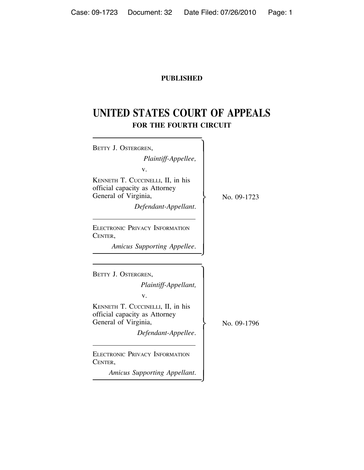## **PUBLISHED**

# **UNITED STATES COURT OF APPEALS FOR THE FOURTH CIRCUIT**

| BETTY J. OSTERGREN,                                                                        |             |
|--------------------------------------------------------------------------------------------|-------------|
| Plaintiff-Appellee,                                                                        |             |
| v.                                                                                         |             |
| KENNETH T. CUCCINELLI, II, in his<br>official capacity as Attorney<br>General of Virginia, | No. 09-1723 |
| Defendant-Appellant.                                                                       |             |
| <b>ELECTRONIC PRIVACY INFORMATION</b><br>CENTER,                                           |             |
| Amicus Supporting Appellee.                                                                |             |
|                                                                                            |             |
| BETTY J. OSTERGREN,                                                                        |             |
| Plaintiff-Appellant,                                                                       |             |
| v.                                                                                         |             |
| KENNETH T. CUCCINELLI, II, in his<br>official capacity as Attorney<br>General of Virginia, | No. 09-1796 |
| Defendant-Appellee.                                                                        |             |
| <b>ELECTRONIC PRIVACY INFORMATION</b><br>CENTER,                                           |             |
| Amicus Supporting Appellant.                                                               |             |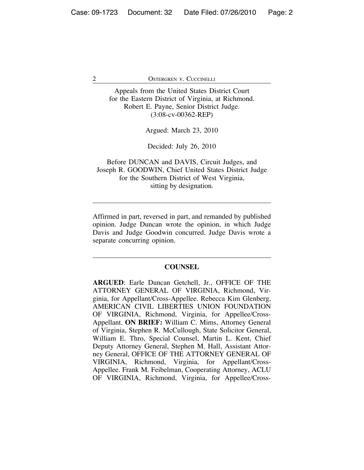Appeals from the United States District Court for the Eastern District of Virginia, at Richmond. Robert E. Payne, Senior District Judge. (3:08-cv-00362-REP)

Argued: March 23, 2010

Decided: July 26, 2010

Before DUNCAN and DAVIS, Circuit Judges, and Joseph R. GOODWIN, Chief United States District Judge for the Southern District of West Virginia, sitting by designation.

Affirmed in part, reversed in part, and remanded by published opinion. Judge Duncan wrote the opinion, in which Judge Davis and Judge Goodwin concurred. Judge Davis wrote a separate concurring opinion.

#### **COUNSEL**

**ARGUED**: Earle Duncan Getchell, Jr., OFFICE OF THE ATTORNEY GENERAL OF VIRGINIA, Richmond, Virginia, for Appellant/Cross-Appellee. Rebecca Kim Glenberg, AMERICAN CIVIL LIBERTIES UNION FOUNDATION OF VIRGINIA, Richmond, Virginia, for Appellee/Cross-Appellant. **ON BRIEF:** William C. Mims, Attorney General of Virginia, Stephen R. McCullough, State Solicitor General, William E. Thro, Special Counsel, Martin L. Kent, Chief Deputy Attorney General, Stephen M. Hall, Assistant Attorney General, OFFICE OF THE ATTORNEY GENERAL OF VIRGINIA, Richmond, Virginia, for Appellant/Cross-Appellee. Frank M. Feibelman, Cooperating Attorney, ACLU OF VIRGINIA, Richmond, Virginia, for Appellee/Cross-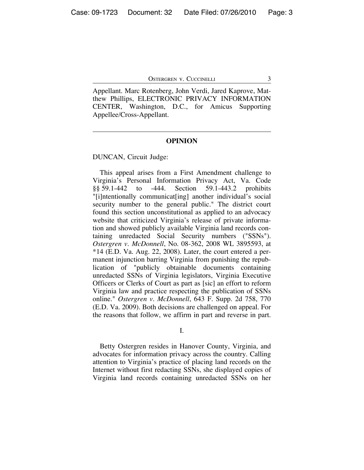Appellant. Marc Rotenberg, John Verdi, Jared Kaprove, Matthew Phillips, ELECTRONIC PRIVACY INFORMATION CENTER, Washington, D.C., for Amicus Supporting Appellee/Cross-Appellant.

#### **OPINION**

DUNCAN, Circuit Judge:

This appeal arises from a First Amendment challenge to Virginia's Personal Information Privacy Act, Va. Code §§ 59.1-442 to -444. Section 59.1-443.2 prohibits "[i]ntentionally communicat[ing] another individual's social security number to the general public." The district court found this section unconstitutional as applied to an advocacy website that criticized Virginia's release of private information and showed publicly available Virginia land records containing unredacted Social Security numbers ("SSNs"). *Ostergren v. McDonnell*, No. 08-362, 2008 WL 3895593, at  $*14$  (E.D. Va. Aug. 22, 2008). Later, the court entered a permanent injunction barring Virginia from punishing the republication of "publicly obtainable documents containing unredacted SSNs of Virginia legislators, Virginia Executive Officers or Clerks of Court as part as [sic] an effort to reform Virginia law and practice respecting the publication of SSNs online." *Ostergren v. McDonnell*, 643 F. Supp. 2d 758, 770 (E.D. Va. 2009). Both decisions are challenged on appeal. For the reasons that follow, we affirm in part and reverse in part.

I.

Betty Ostergren resides in Hanover County, Virginia, and advocates for information privacy across the country. Calling attention to Virginia's practice of placing land records on the Internet without first redacting SSNs, she displayed copies of Virginia land records containing unredacted SSNs on her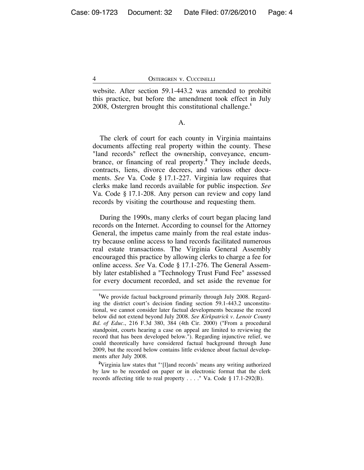website. After section 59.1-443.2 was amended to prohibit this practice, but before the amendment took effect in July 2008, Ostergren brought this constitutional challenge.**<sup>1</sup>**

#### A.

The clerk of court for each county in Virginia maintains documents affecting real property within the county. These "land records" reflect the ownership, conveyance, encumbrance, or financing of real property.**<sup>2</sup>** They include deeds, contracts, liens, divorce decrees, and various other documents. *See* Va. Code § 17.1-227. Virginia law requires that clerks make land records available for public inspection. *See* Va. Code § 17.1-208. Any person can review and copy land records by visiting the courthouse and requesting them.

During the 1990s, many clerks of court began placing land records on the Internet. According to counsel for the Attorney General, the impetus came mainly from the real estate industry because online access to land records facilitated numerous real estate transactions. The Virginia General Assembly encouraged this practice by allowing clerks to charge a fee for online access. *See* Va. Code § 17.1-276. The General Assembly later established a "Technology Trust Fund Fee" assessed for every document recorded, and set aside the revenue for

**<sup>1</sup>** We provide factual background primarily through July 2008. Regarding the district court's decision finding section 59.1-443.2 unconstitutional, we cannot consider later factual developments because the record below did not extend beyond July 2008. *See Kirkpatrick v. Lenoir County Bd. of Educ.*, 216 F.3d 380, 384 (4th Cir. 2000) ("From a procedural standpoint, courts hearing a case on appeal are limited to reviewing the record that has been developed below."). Regarding injunctive relief, we could theoretically have considered factual background through June 2009, but the record below contains little evidence about factual developments after July 2008.

<sup>&</sup>lt;sup>2</sup>Virginia law states that "'[l]and records' means any writing authorized by law to be recorded on paper or in electronic format that the clerk records affecting title to real property . . . ." Va. Code § 17.1-292(B).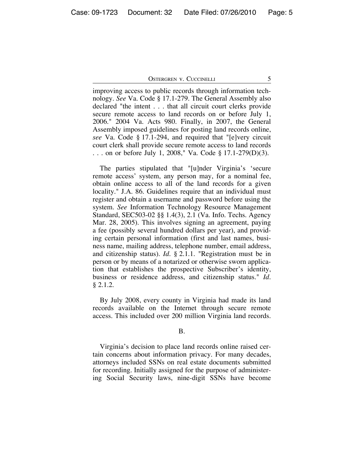improving access to public records through information technology. *See* Va. Code § 17.1-279. The General Assembly also declared "the intent . . . that all circuit court clerks provide secure remote access to land records on or before July 1, 2006." 2004 Va. Acts 980. Finally, in 2007, the General Assembly imposed guidelines for posting land records online, *see* Va. Code § 17.1-294, and required that "[e]very circuit court clerk shall provide secure remote access to land records . . . on or before July 1, 2008," Va. Code § 17.1-279(D)(3).

The parties stipulated that "[u]nder Virginia's 'secure remote access' system, any person may, for a nominal fee, obtain online access to all of the land records for a given locality." J.A. 86. Guidelines require that an individual must register and obtain a username and password before using the system. *See* Information Technology Resource Management Standard, SEC503-02 §§ 1.4(3), 2.1 (Va. Info. Techs. Agency Mar. 28, 2005). This involves signing an agreement, paying a fee (possibly several hundred dollars per year), and providing certain personal information (first and last names, business name, mailing address, telephone number, email address, and citizenship status). *Id.* § 2.1.1. "Registration must be in person or by means of a notarized or otherwise sworn application that establishes the prospective Subscriber's identity, business or residence address, and citizenship status." *Id.* § 2.1.2.

By July 2008, every county in Virginia had made its land records available on the Internet through secure remote access. This included over 200 million Virginia land records.

B.

Virginia's decision to place land records online raised certain concerns about information privacy. For many decades, attorneys included SSNs on real estate documents submitted for recording. Initially assigned for the purpose of administering Social Security laws, nine-digit SSNs have become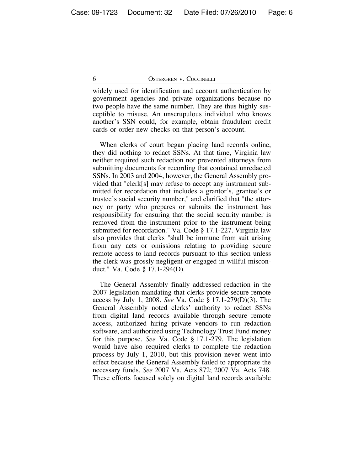widely used for identification and account authentication by government agencies and private organizations because no two people have the same number. They are thus highly susceptible to misuse. An unscrupulous individual who knows another's SSN could, for example, obtain fraudulent credit cards or order new checks on that person's account.

When clerks of court began placing land records online, they did nothing to redact SSNs. At that time, Virginia law neither required such redaction nor prevented attorneys from submitting documents for recording that contained unredacted SSNs. In 2003 and 2004, however, the General Assembly provided that "clerk[s] may refuse to accept any instrument submitted for recordation that includes a grantor's, grantee's or trustee's social security number," and clarified that "the attorney or party who prepares or submits the instrument has responsibility for ensuring that the social security number is removed from the instrument prior to the instrument being submitted for recordation." Va. Code § 17.1-227. Virginia law also provides that clerks "shall be immune from suit arising from any acts or omissions relating to providing secure remote access to land records pursuant to this section unless the clerk was grossly negligent or engaged in willful misconduct." Va. Code § 17.1-294(D).

The General Assembly finally addressed redaction in the 2007 legislation mandating that clerks provide secure remote access by July 1, 2008. *See* Va. Code § 17.1-279(D)(3). The General Assembly noted clerks' authority to redact SSNs from digital land records available through secure remote access, authorized hiring private vendors to run redaction software, and authorized using Technology Trust Fund money for this purpose. *See* Va. Code § 17.1-279. The legislation would have also required clerks to complete the redaction process by July 1, 2010, but this provision never went into effect because the General Assembly failed to appropriate the necessary funds. *See* 2007 Va. Acts 872; 2007 Va. Acts 748. These efforts focused solely on digital land records available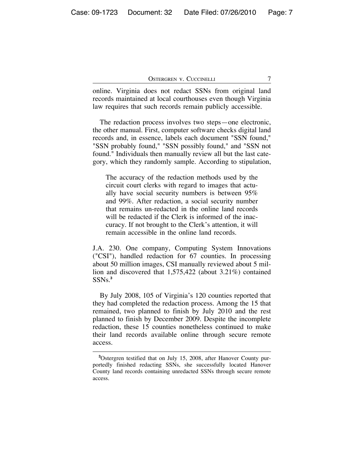online. Virginia does not redact SSNs from original land records maintained at local courthouses even though Virginia law requires that such records remain publicly accessible.

The redaction process involves two steps—one electronic, the other manual. First, computer software checks digital land records and, in essence, labels each document "SSN found," "SSN probably found," "SSN possibly found," and "SSN not found." Individuals then manually review all but the last category, which they randomly sample. According to stipulation,

The accuracy of the redaction methods used by the circuit court clerks with regard to images that actually have social security numbers is between 95% and 99%. After redaction, a social security number that remains un-redacted in the online land records will be redacted if the Clerk is informed of the inaccuracy. If not brought to the Clerk's attention, it will remain accessible in the online land records.

J.A. 230. One company, Computing System Innovations ("CSI"), handled redaction for 67 counties. In processing about 50 million images, CSI manually reviewed about 5 million and discovered that 1,575,422 (about 3.21%) contained SSNs.**<sup>3</sup>**

By July 2008, 105 of Virginia's 120 counties reported that they had completed the redaction process. Among the 15 that remained, two planned to finish by July 2010 and the rest planned to finish by December 2009. Despite the incomplete redaction, these 15 counties nonetheless continued to make their land records available online through secure remote access.

**<sup>3</sup>** Ostergren testified that on July 15, 2008, after Hanover County purportedly finished redacting SSNs, she successfully located Hanover County land records containing unredacted SSNs through secure remote access.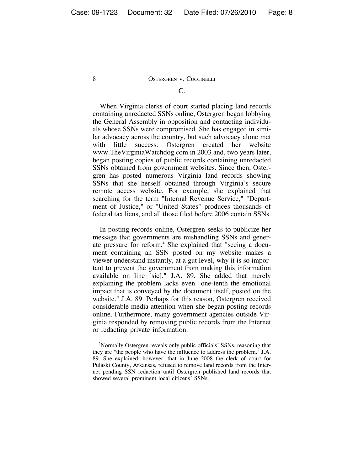### C.

When Virginia clerks of court started placing land records containing unredacted SSNs online, Ostergren began lobbying the General Assembly in opposition and contacting individuals whose SSNs were compromised. She has engaged in similar advocacy across the country, but such advocacy alone met with little success. Ostergren created her website www.TheVirginiaWatchdog.com in 2003 and, two years later, began posting copies of public records containing unredacted SSNs obtained from government websites. Since then, Ostergren has posted numerous Virginia land records showing SSNs that she herself obtained through Virginia's secure remote access website. For example, she explained that searching for the term "Internal Revenue Service," "Department of Justice," or "United States" produces thousands of federal tax liens, and all those filed before 2006 contain SSNs.

In posting records online, Ostergren seeks to publicize her message that governments are mishandling SSNs and generate pressure for reform.**<sup>4</sup>** She explained that "seeing a document containing an SSN posted on my website makes a viewer understand instantly, at a gut level, why it is so important to prevent the government from making this information available on line [sic]." J.A. 89. She added that merely explaining the problem lacks even "one-tenth the emotional impact that is conveyed by the document itself, posted on the website." J.A. 89. Perhaps for this reason, Ostergren received considerable media attention when she began posting records online. Furthermore, many government agencies outside Virginia responded by removing public records from the Internet or redacting private information.

**<sup>4</sup>** Normally Ostergren reveals only public officials' SSNs, reasoning that they are "the people who have the influence to address the problem." J.A. 89. She explained, however, that in June 2008 the clerk of court for Pulaski County, Arkansas, refused to remove land records from the Internet pending SSN redaction until Ostergren published land records that showed several prominent local citizens' SSNs.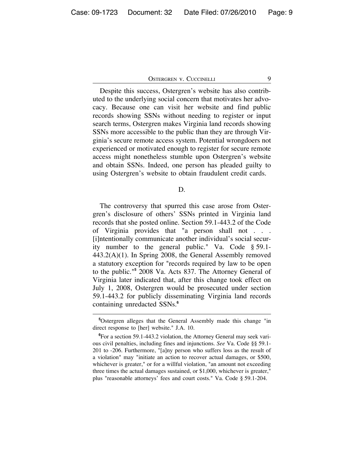Despite this success, Ostergren's website has also contributed to the underlying social concern that motivates her advocacy. Because one can visit her website and find public records showing SSNs without needing to register or input search terms, Ostergren makes Virginia land records showing SSNs more accessible to the public than they are through Virginia's secure remote access system. Potential wrongdoers not experienced or motivated enough to register for secure remote access might nonetheless stumble upon Ostergren's website and obtain SSNs. Indeed, one person has pleaded guilty to using Ostergren's website to obtain fraudulent credit cards.

D.

The controversy that spurred this case arose from Ostergren's disclosure of others' SSNs printed in Virginia land records that she posted online. Section 59.1-443.2 of the Code of Virginia provides that "a person shall not . . . [i]ntentionally communicate another individual's social security number to the general public." Va. Code § 59.1- 443.2(A)(1). In Spring 2008, the General Assembly removed a statutory exception for "records required by law to be open to the public."**<sup>5</sup>** 2008 Va. Acts 837. The Attorney General of Virginia later indicated that, after this change took effect on July 1, 2008, Ostergren would be prosecuted under section 59.1-443.2 for publicly disseminating Virginia land records containing unredacted SSNs.**<sup>6</sup>**

**<sup>5</sup>** Ostergren alleges that the General Assembly made this change "in direct response to [her] website." J.A. 10.

**<sup>6</sup>** For a section 59.1-443.2 violation, the Attorney General may seek various civil penalties, including fines and injunctions. *See* Va. Code §§ 59.1- 201 to -206. Furthermore, "[a]ny person who suffers loss as the result of a violation" may "initiate an action to recover actual damages, or \$500, whichever is greater," or for a willful violation, "an amount not exceeding three times the actual damages sustained, or \$1,000, whichever is greater," plus "reasonable attorneys' fees and court costs." Va. Code § 59.1-204.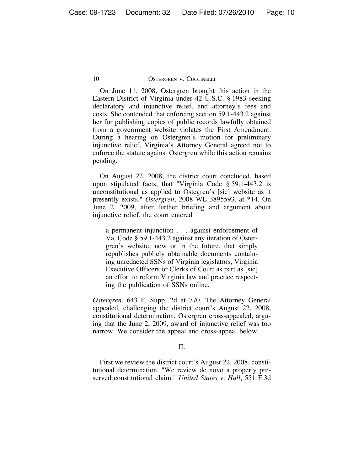On June 11, 2008, Ostergren brought this action in the Eastern District of Virginia under 42 U.S.C. § 1983 seeking declaratory and injunctive relief, and attorney's fees and costs. She contended that enforcing section 59.1-443.2 against her for publishing copies of public records lawfully obtained from a government website violates the First Amendment. During a hearing on Ostergren's motion for preliminary injunctive relief, Virginia's Attorney General agreed not to enforce the statute against Ostergren while this action remains pending.

On August 22, 2008, the district court concluded, based upon stipulated facts, that "Virginia Code § 59.1-443.2 is unconstitutional as applied to Ostegren's [sic] website as it presently exists." *Ostergren*, 2008 WL 3895593, at \*14. On June 2, 2009, after further briefing and argument about injunctive relief, the court entered

a permanent injunction . . . against enforcement of Va. Code § 59.1-443.2 against any iteration of Ostergren's website, now or in the future, that simply republishes publicly obtainable documents containing unredacted SSNs of Virginia legislators, Virginia Executive Officers or Clerks of Court as part as [sic] an effort to reform Virginia law and practice respecting the publication of SSNs online.

*Ostergren*, 643 F. Supp. 2d at 770. The Attorney General appealed, challenging the district court's August 22, 2008, constitutional determination. Ostergren cross-appealed, arguing that the June 2, 2009, award of injunctive relief was too narrow. We consider the appeal and cross-appeal below.

#### II.

First we review the district court's August 22, 2008, constitutional determination. "We review de novo a properly preserved constitutional claim." *United States v. Hall*, 551 F.3d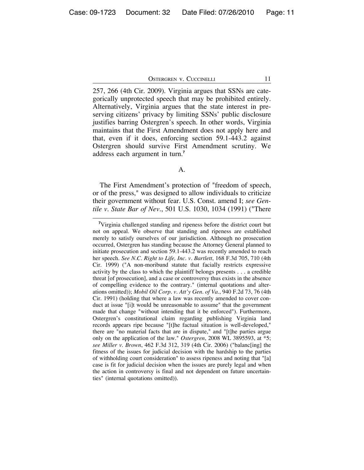257, 266 (4th Cir. 2009). Virginia argues that SSNs are categorically unprotected speech that may be prohibited entirely. Alternatively, Virginia argues that the state interest in preserving citizens' privacy by limiting SSNs' public disclosure justifies barring Ostergren's speech. In other words, Virginia maintains that the First Amendment does not apply here and that, even if it does, enforcing section 59.1-443.2 against Ostergren should survive First Amendment scrutiny. We address each argument in turn.**<sup>7</sup>**

#### A.

The First Amendment's protection of "freedom of speech, or of the press," was designed to allow individuals to criticize their government without fear. U.S. Const. amend I; *see Gentile v. State Bar of Nev.*, 501 U.S. 1030, 1034 (1991) ("There

**<sup>7</sup>** Virginia challenged standing and ripeness before the district court but not on appeal. We observe that standing and ripeness are established merely to satisfy ourselves of our jurisdiction. Although no prosecution occurred, Ostergren has standing because the Attorney General planned to initiate prosecution and section 59.1-443.2 was recently amended to reach her speech. *See N.C. Right to Life, Inc. v. Bartlett*, 168 F.3d 705, 710 (4th Cir. 1999) ("A non-moribund statute that facially restricts expressive activity by the class to which the plaintiff belongs presents . . . a credible threat [of prosecution], and a case or controversy thus exists in the absence of compelling evidence to the contrary." (internal quotations and alterations omitted)); *Mobil Oil Corp. v. Att'y Gen. of Va.*, 940 F.2d 73, 76 (4th Cir. 1991) (holding that where a law was recently amended to cover conduct at issue "[i]t would be unreasonable to assume" that the government made that change "without intending that it be enforced"). Furthermore, Ostergren's constitutional claim regarding publishing Virginia land records appears ripe because "[t]he factual situation is well-developed," there are "no material facts that are in dispute," and "[t]he parties argue only on the application of the law." *Ostergren*, 2008 WL 3895593, at \*5; *see Miller v. Brown*, 462 F.3d 312, 319 (4th Cir. 2006) ("balanc[ing] the fitness of the issues for judicial decision with the hardship to the parties of withholding court consideration" to assess ripeness and noting that "[a] case is fit for judicial decision when the issues are purely legal and when the action in controversy is final and not dependent on future uncertainties" (internal quotations omitted)).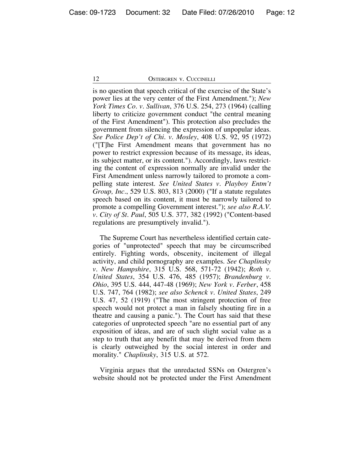is no question that speech critical of the exercise of the State's power lies at the very center of the First Amendment."); *New York Times Co. v. Sullivan*, 376 U.S. 254, 273 (1964) (calling liberty to criticize government conduct "the central meaning of the First Amendment"). This protection also precludes the government from silencing the expression of unpopular ideas. *See Police Dep't of Chi. v. Mosley*, 408 U.S. 92, 95 (1972) ("[T]he First Amendment means that government has no power to restrict expression because of its message, its ideas, its subject matter, or its content."). Accordingly, laws restricting the content of expression normally are invalid under the First Amendment unless narrowly tailored to promote a compelling state interest. *See United States v. Playboy Entm't Group, Inc.*, 529 U.S. 803, 813 (2000) ("If a statute regulates speech based on its content, it must be narrowly tailored to promote a compelling Government interest."); *see also R.A.V. v. City of St. Paul*, 505 U.S. 377, 382 (1992) ("Content-based regulations are presumptively invalid.").

The Supreme Court has nevertheless identified certain categories of "unprotected" speech that may be circumscribed entirely. Fighting words, obscenity, incitement of illegal activity, and child pornography are examples. *See Chaplinsky v. New Hampshire*, 315 U.S. 568, 571-72 (1942); *Roth v. United States*, 354 U.S. 476, 485 (1957); *Brandenburg v. Ohio*, 395 U.S. 444, 447-48 (1969); *New York v. Ferber*, 458 U.S. 747, 764 (1982); *see also Schenck v. United States*, 249 U.S. 47, 52 (1919) ("The most stringent protection of free speech would not protect a man in falsely shouting fire in a theatre and causing a panic."). The Court has said that these categories of unprotected speech "are no essential part of any exposition of ideas, and are of such slight social value as a step to truth that any benefit that may be derived from them is clearly outweighed by the social interest in order and morality." *Chaplinsky*, 315 U.S. at 572.

Virginia argues that the unredacted SSNs on Ostergren's website should not be protected under the First Amendment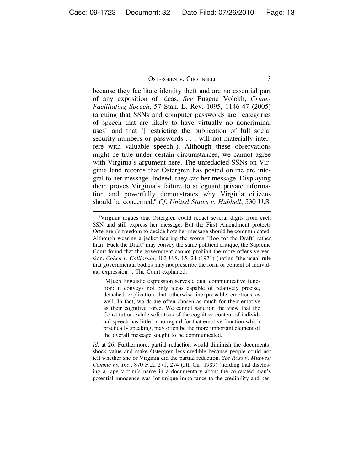because they facilitate identity theft and are no essential part of any exposition of ideas. *See* Eugene Volokh, *Crime-Facilitating Speech*, 57 Stan. L. Rev. 1095, 1146-47 (2005) (arguing that SSNs and computer passwords are "categories of speech that are likely to have virtually no noncriminal uses" and that "[r]estricting the publication of full social security numbers or passwords . . . will not materially interfere with valuable speech"). Although these observations might be true under certain circumstances, we cannot agree with Virginia's argument here. The unredacted SSNs on Virginia land records that Ostergren has posted online are integral to her message. Indeed, they *are* her message. Displaying them proves Virginia's failure to safeguard private information and powerfully demonstrates why Virginia citizens should be concerned.**<sup>8</sup>** *Cf. United States v. Hubbell*, 530 U.S.

[M]uch linguistic expression serves a dual communicative function: it conveys not only ideas capable of relatively precise, detached explication, but otherwise inexpressible emotions as well. In fact, words are often chosen as much for their emotive as their cognitive force. We cannot sanction the view that the Constitution, while solicitous of the cognitive content of individual speech has little or no regard for that emotive function which practically speaking, may often be the more important element of the overall message sought to be communicated.

*Id.* at 26. Furthermore, partial redaction would diminish the documents' shock value and make Ostergren less credible because people could not tell whether she or Virginia did the partial redaction. *See Ross v. Midwest Commc'ns, Inc.*, 870 F.2d 271, 274 (5th Cir. 1989) (holding that disclosing a rape victim's name in a documentary about the convicted man's potential innocence was "of unique importance to the credibility and per-

**<sup>8</sup>** Virginia argues that Ostergren could redact several digits from each SSN and still express her message. But the First Amendment protects Ostergren's freedom to decide how her message should be communicated. Although wearing a jacket bearing the words "Boo for the Draft" rather than "Fuck the Draft" may convey the same political critique, the Supreme Court found that the government cannot prohibit the more offensive version. *Cohen v. California*, 403 U.S. 15, 24 (1971) (noting "the usual rule that governmental bodies may not prescribe the form or content of individual expression"). The Court explained: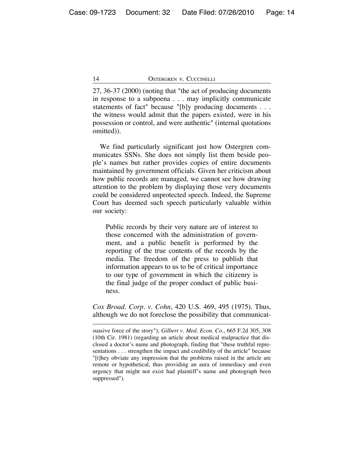27, 36-37 (2000) (noting that "the act of producing documents in response to a subpoena . . . may implicitly communicate statements of fact" because "[b]y producing documents . . . the witness would admit that the papers existed, were in his possession or control, and were authentic" (internal quotations omitted)).

We find particularly significant just how Ostergren communicates SSNs. She does not simply list them beside people's names but rather provides copies of entire documents maintained by government officials. Given her criticism about how public records are managed, we cannot see how drawing attention to the problem by displaying those very documents could be considered unprotected speech. Indeed, the Supreme Court has deemed such speech particularly valuable within our society:

Public records by their very nature are of interest to those concerned with the administration of government, and a public benefit is performed by the reporting of the true contents of the records by the media. The freedom of the press to publish that information appears to us to be of critical importance to our type of government in which the citizenry is the final judge of the proper conduct of public business.

*Cox Broad. Corp. v. Cohn*, 420 U.S. 469, 495 (1975). Thus, although we do not foreclose the possibility that communicat-

suasive force of the story"); *Gilbert v. Med. Econ. Co.*, 665 F.2d 305, 308 (10th Cir. 1981) (regarding an article about medical malpractice that disclosed a doctor's name and photograph, finding that "these truthful representations . . . strengthen the impact and credibility of the article" because "[t]hey obviate any impression that the problems raised in the article are remote or hypothetical, thus providing an aura of immediacy and even urgency that might not exist had plaintiff's name and photograph been suppressed").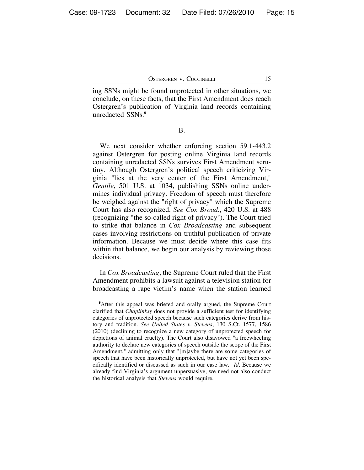ing SSNs might be found unprotected in other situations, we conclude, on these facts, that the First Amendment does reach Ostergren's publication of Virginia land records containing unredacted SSNs.**<sup>9</sup>**

B.

We next consider whether enforcing section 59.1-443.2 against Ostergren for posting online Virginia land records containing unredacted SSNs survives First Amendment scrutiny. Although Ostergren's political speech criticizing Virginia "lies at the very center of the First Amendment," *Gentile*, 501 U.S. at 1034, publishing SSNs online undermines individual privacy. Freedom of speech must therefore be weighed against the "right of privacy" which the Supreme Court has also recognized. *See Cox Broad.*, 420 U.S. at 488 (recognizing "the so-called right of privacy"). The Court tried to strike that balance in *Cox Broadcasting* and subsequent cases involving restrictions on truthful publication of private information. Because we must decide where this case fits within that balance, we begin our analysis by reviewing those decisions.

In *Cox Broadcasting*, the Supreme Court ruled that the First Amendment prohibits a lawsuit against a television station for broadcasting a rape victim's name when the station learned

**<sup>9</sup>** After this appeal was briefed and orally argued, the Supreme Court clarified that *Chaplinksy* does not provide a sufficient test for identifying categories of unprotected speech because such categories derive from history and tradition. *See United States v. Stevens*, 130 S.Ct. 1577, 1586 (2010) (declining to recognize a new category of unprotected speech for depictions of animal cruelty). The Court also disavowed "a freewheeling authority to declare new categories of speech outside the scope of the First Amendment," admitting only that "[m]aybe there are some categories of speech that have been historically unprotected, but have not yet been specifically identified or discussed as such in our case law." *Id.* Because we already find Virginia's argument unpersuasive, we need not also conduct the historical analysis that *Stevens* would require.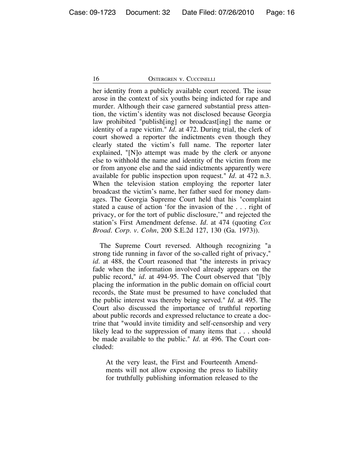her identity from a publicly available court record. The issue arose in the context of six youths being indicted for rape and murder. Although their case garnered substantial press attention, the victim's identity was not disclosed because Georgia law prohibited "publish[ing] or broadcast[ing] the name or identity of a rape victim." *Id.* at 472. During trial, the clerk of court showed a reporter the indictments even though they clearly stated the victim's full name. The reporter later explained, "[N]o attempt was made by the clerk or anyone else to withhold the name and identity of the victim from me or from anyone else and the said indictments apparently were available for public inspection upon request." *Id.* at 472 n.3. When the television station employing the reporter later broadcast the victim's name, her father sued for money damages. The Georgia Supreme Court held that his "complaint stated a cause of action 'for the invasion of the . . . right of privacy, or for the tort of public disclosure,'" and rejected the station's First Amendment defense. *Id.* at 474 (quoting *Cox Broad. Corp. v. Cohn*, 200 S.E.2d 127, 130 (Ga. 1973)).

The Supreme Court reversed. Although recognizing "a strong tide running in favor of the so-called right of privacy," *id.* at 488, the Court reasoned that "the interests in privacy fade when the information involved already appears on the public record," *id.* at 494-95. The Court observed that "[b]y placing the information in the public domain on official court records, the State must be presumed to have concluded that the public interest was thereby being served." *Id.* at 495. The Court also discussed the importance of truthful reporting about public records and expressed reluctance to create a doctrine that "would invite timidity and self-censorship and very likely lead to the suppression of many items that . . . should be made available to the public." *Id.* at 496. The Court concluded:

At the very least, the First and Fourteenth Amendments will not allow exposing the press to liability for truthfully publishing information released to the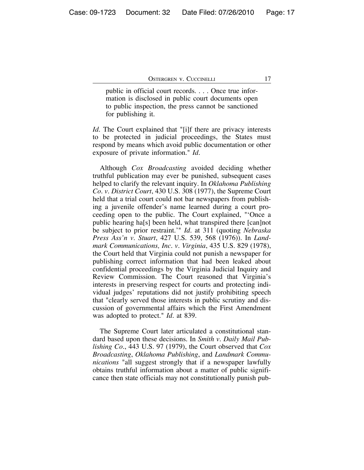public in official court records. . . . Once true information is disclosed in public court documents open to public inspection, the press cannot be sanctioned for publishing it.

*Id.* The Court explained that "[i]f there are privacy interests to be protected in judicial proceedings, the States must respond by means which avoid public documentation or other exposure of private information." *Id.*

Although *Cox Broadcasting* avoided deciding whether truthful publication may ever be punished, subsequent cases helped to clarify the relevant inquiry. In *Oklahoma Publishing Co. v. District Court*, 430 U.S. 308 (1977), the Supreme Court held that a trial court could not bar newspapers from publishing a juvenile offender's name learned during a court proceeding open to the public. The Court explained, "'Once a public hearing ha[s] been held, what transpired there [can]not be subject to prior restraint.'" *Id.* at 311 (quoting *Nebraska Press Ass'n v. Stuart*, 427 U.S. 539, 568 (1976)). In *Landmark Communications, Inc. v. Virginia*, 435 U.S. 829 (1978), the Court held that Virginia could not punish a newspaper for publishing correct information that had been leaked about confidential proceedings by the Virginia Judicial Inquiry and Review Commission. The Court reasoned that Virginia's interests in preserving respect for courts and protecting individual judges' reputations did not justify prohibiting speech that "clearly served those interests in public scrutiny and discussion of governmental affairs which the First Amendment was adopted to protect." *Id.* at 839.

The Supreme Court later articulated a constitutional standard based upon these decisions. In *Smith v. Daily Mail Publishing Co.*, 443 U.S. 97 (1979), the Court observed that *Cox Broadcasting*, *Oklahoma Publishing*, and *Landmark Communications* "all suggest strongly that if a newspaper lawfully obtains truthful information about a matter of public significance then state officials may not constitutionally punish pub-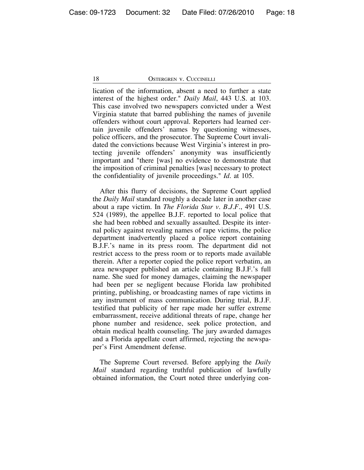lication of the information, absent a need to further a state interest of the highest order." *Daily Mail*, 443 U.S. at 103. This case involved two newspapers convicted under a West Virginia statute that barred publishing the names of juvenile offenders without court approval. Reporters had learned certain juvenile offenders' names by questioning witnesses, police officers, and the prosecutor. The Supreme Court invalidated the convictions because West Virginia's interest in protecting juvenile offenders' anonymity was insufficiently important and "there [was] no evidence to demonstrate that the imposition of criminal penalties [was] necessary to protect the confidentiality of juvenile proceedings." *Id.* at 105.

After this flurry of decisions, the Supreme Court applied the *Daily Mail* standard roughly a decade later in another case about a rape victim. In *The Florida Star v. B.J.F.*, 491 U.S. 524 (1989), the appellee B.J.F. reported to local police that she had been robbed and sexually assaulted. Despite its internal policy against revealing names of rape victims, the police department inadvertently placed a police report containing B.J.F.'s name in its press room. The department did not restrict access to the press room or to reports made available therein. After a reporter copied the police report verbatim, an area newspaper published an article containing B.J.F.'s full name. She sued for money damages, claiming the newspaper had been per se negligent because Florida law prohibited printing, publishing, or broadcasting names of rape victims in any instrument of mass communication. During trial, B.J.F. testified that publicity of her rape made her suffer extreme embarrassment, receive additional threats of rape, change her phone number and residence, seek police protection, and obtain medical health counseling. The jury awarded damages and a Florida appellate court affirmed, rejecting the newspaper's First Amendment defense.

The Supreme Court reversed. Before applying the *Daily Mail* standard regarding truthful publication of lawfully obtained information, the Court noted three underlying con-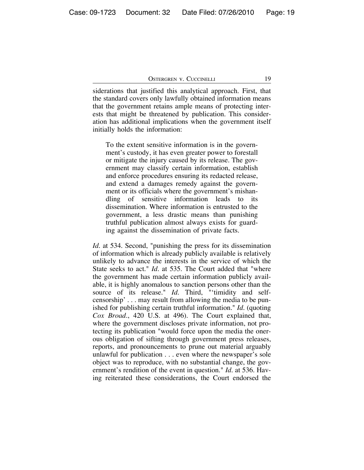siderations that justified this analytical approach. First, that the standard covers only lawfully obtained information means that the government retains ample means of protecting interests that might be threatened by publication. This consideration has additional implications when the government itself initially holds the information:

To the extent sensitive information is in the government's custody, it has even greater power to forestall or mitigate the injury caused by its release. The government may classify certain information, establish and enforce procedures ensuring its redacted release, and extend a damages remedy against the government or its officials where the government's mishandling of sensitive information leads to its dissemination. Where information is entrusted to the government, a less drastic means than punishing truthful publication almost always exists for guarding against the dissemination of private facts.

*Id.* at 534. Second, "punishing the press for its dissemination of information which is already publicly available is relatively unlikely to advance the interests in the service of which the State seeks to act." *Id.* at 535. The Court added that "where the government has made certain information publicly available, it is highly anomalous to sanction persons other than the source of its release." *Id.* Third, "'timidity and selfcensorship' . . . may result from allowing the media to be punished for publishing certain truthful information." *Id.* (quoting *Cox Broad.*, 420 U.S. at 496). The Court explained that, where the government discloses private information, not protecting its publication "would force upon the media the onerous obligation of sifting through government press releases, reports, and pronouncements to prune out material arguably unlawful for publication . . . even where the newspaper's sole object was to reproduce, with no substantial change, the government's rendition of the event in question." *Id.* at 536. Having reiterated these considerations, the Court endorsed the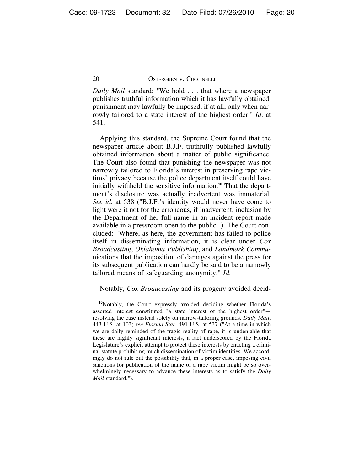*Daily Mail* standard: "We hold . . . that where a newspaper publishes truthful information which it has lawfully obtained, punishment may lawfully be imposed, if at all, only when narrowly tailored to a state interest of the highest order." *Id.* at 541.

Applying this standard, the Supreme Court found that the newspaper article about B.J.F. truthfully published lawfully obtained information about a matter of public significance. The Court also found that punishing the newspaper was not narrowly tailored to Florida's interest in preserving rape victims' privacy because the police department itself could have initially withheld the sensitive information.**10** That the department's disclosure was actually inadvertent was immaterial. *See id.* at 538 ("B.J.F.'s identity would never have come to light were it not for the erroneous, if inadvertent, inclusion by the Department of her full name in an incident report made available in a pressroom open to the public."). The Court concluded: "Where, as here, the government has failed to police itself in disseminating information, it is clear under *Cox Broadcasting*, *Oklahoma Publishing*, and *Landmark Commu*nications that the imposition of damages against the press for its subsequent publication can hardly be said to be a narrowly tailored means of safeguarding anonymity." *Id.*

Notably, *Cox Broadcasting* and its progeny avoided decid-

**<sup>10</sup>**Notably, the Court expressly avoided deciding whether Florida's asserted interest constituted "a state interest of the highest order" resolving the case instead solely on narrow-tailoring grounds. *Daily Mail*, 443 U.S. at 103; *see Florida Star*, 491 U.S. at 537 ("At a time in which we are daily reminded of the tragic reality of rape, it is undeniable that these are highly significant interests, a fact underscored by the Florida Legislature's explicit attempt to protect these interests by enacting a criminal statute prohibiting much dissemination of victim identities. We accordingly do not rule out the possibility that, in a proper case, imposing civil sanctions for publication of the name of a rape victim might be so overwhelmingly necessary to advance these interests as to satisfy the *Daily Mail* standard.").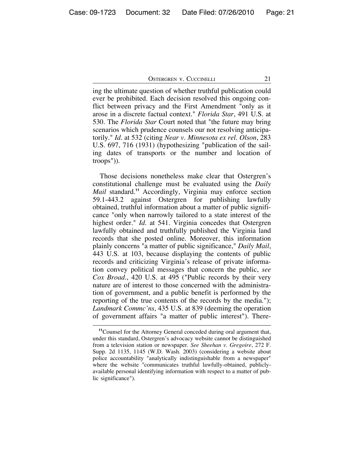ing the ultimate question of whether truthful publication could ever be prohibited. Each decision resolved this ongoing conflict between privacy and the First Amendment "only as it arose in a discrete factual context." *Florida Star*, 491 U.S. at 530. The *Florida Star* Court noted that "the future may bring scenarios which prudence counsels our not resolving anticipatorily." *Id.* at 532 (citing *Near v. Minnesota ex rel. Olson*, 283 U.S. 697, 716 (1931) (hypothesizing "publication of the sailing dates of transports or the number and location of troops")).

Those decisions nonetheless make clear that Ostergren's constitutional challenge must be evaluated using the *Daily Mail* standard.**<sup>11</sup>** Accordingly, Virginia may enforce section 59.1-443.2 against Ostergren for publishing lawfully obtained, truthful information about a matter of public significance "only when narrowly tailored to a state interest of the highest order." *Id.* at 541. Virginia concedes that Ostergren lawfully obtained and truthfully published the Virginia land records that she posted online. Moreover, this information plainly concerns "a matter of public significance," *Daily Mail*, 443 U.S. at 103, because displaying the contents of public records and criticizing Virginia's release of private information convey political messages that concern the public, *see Cox Broad.*, 420 U.S. at 495 ("Public records by their very nature are of interest to those concerned with the administration of government, and a public benefit is performed by the reporting of the true contents of the records by the media."); *Landmark Commc'ns*, 435 U.S. at 839 (deeming the operation of government affairs "a matter of public interest"). There-

**<sup>11</sup>**Counsel for the Attorney General conceded during oral argument that, under this standard, Ostergren's advocacy website cannot be distinguished from a television station or newspaper. *See Sheehan v. Gregoire*, 272 F. Supp. 2d 1135, 1145 (W.D. Wash. 2003) (considering a website about police accountability "analytically indistinguishable from a newspaper" where the website "communicates truthful lawfully-obtained, publiclyavailable personal identifying information with respect to a matter of public significance").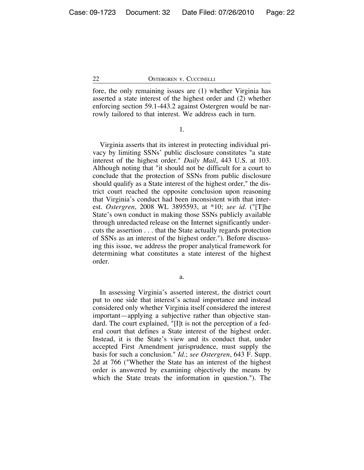fore, the only remaining issues are (1) whether Virginia has asserted a state interest of the highest order and (2) whether enforcing section 59.1-443.2 against Ostergren would be narrowly tailored to that interest. We address each in turn.

1.

Virginia asserts that its interest in protecting individual privacy by limiting SSNs' public disclosure constitutes "a state interest of the highest order." *Daily Mail*, 443 U.S. at 103. Although noting that "it should not be difficult for a court to conclude that the protection of SSNs from public disclosure should qualify as a State interest of the highest order," the district court reached the opposite conclusion upon reasoning that Virginia's conduct had been inconsistent with that interest. *Ostergren*, 2008 WL 3895593, at \*10; *see id.* ("[T]he State's own conduct in making those SSNs publicly available through unredacted release on the Internet significantly undercuts the assertion . . . that the State actually regards protection of SSNs as an interest of the highest order."). Before discussing this issue, we address the proper analytical framework for determining what constitutes a state interest of the highest order.

a.

In assessing Virginia's asserted interest, the district court put to one side that interest's actual importance and instead considered only whether Virginia itself considered the interest important—applying a subjective rather than objective standard. The court explained, "[I]t is not the perception of a federal court that defines a State interest of the highest order. Instead, it is the State's view and its conduct that, under accepted First Amendment jurisprudence, must supply the basis for such a conclusion." *Id.*; *see Ostergren*, 643 F. Supp. 2d at 766 ("Whether the State has an interest of the highest order is answered by examining objectively the means by which the State treats the information in question."). The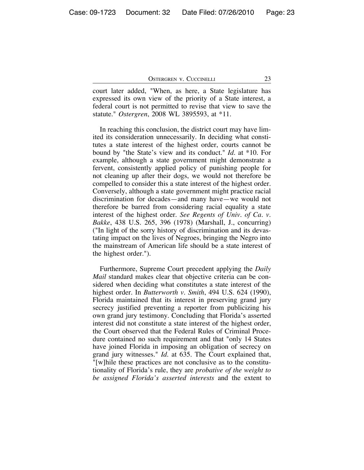court later added, "When, as here, a State legislature has expressed its own view of the priority of a State interest, a federal court is not permitted to revise that view to save the statute." *Ostergren*, 2008 WL 3895593, at \*11.

In reaching this conclusion, the district court may have limited its consideration unnecessarily. In deciding what constitutes a state interest of the highest order, courts cannot be bound by "the State's view and its conduct." *Id.* at \*10. For example, although a state government might demonstrate a fervent, consistently applied policy of punishing people for not cleaning up after their dogs, we would not therefore be compelled to consider this a state interest of the highest order. Conversely, although a state government might practice racial discrimination for decades—and many have—we would not therefore be barred from considering racial equality a state interest of the highest order. *See Regents of Univ. of Ca. v. Bakke*, 438 U.S. 265, 396 (1978) (Marshall, J., concurring) ("In light of the sorry history of discrimination and its devastating impact on the lives of Negroes, bringing the Negro into the mainstream of American life should be a state interest of the highest order.").

Furthermore, Supreme Court precedent applying the *Daily Mail* standard makes clear that objective criteria can be considered when deciding what constitutes a state interest of the highest order. In *Butterworth v. Smith*, 494 U.S. 624 (1990), Florida maintained that its interest in preserving grand jury secrecy justified preventing a reporter from publicizing his own grand jury testimony. Concluding that Florida's asserted interest did not constitute a state interest of the highest order, the Court observed that the Federal Rules of Criminal Procedure contained no such requirement and that "only 14 States have joined Florida in imposing an obligation of secrecy on grand jury witnesses." *Id.* at 635. The Court explained that, "[w]hile these practices are not conclusive as to the constitutionality of Florida's rule, they are *probative of the weight to be assigned Florida's asserted interests* and the extent to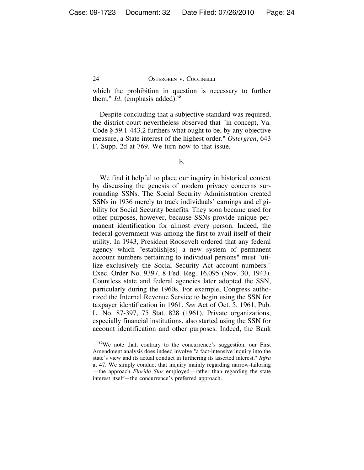which the prohibition in question is necessary to further them." *Id.* (emphasis added).**<sup>12</sup>**

Despite concluding that a subjective standard was required, the district court nevertheless observed that "in concept, Va. Code § 59.1-443.2 furthers what ought to be, by any objective measure, a State interest of the highest order." *Ostergren*, 643 F. Supp. 2d at 769. We turn now to that issue.

b.

We find it helpful to place our inquiry in historical context by discussing the genesis of modern privacy concerns surrounding SSNs. The Social Security Administration created SSNs in 1936 merely to track individuals' earnings and eligibility for Social Security benefits. They soon became used for other purposes, however, because SSNs provide unique permanent identification for almost every person. Indeed, the federal government was among the first to avail itself of their utility. In 1943, President Roosevelt ordered that any federal agency which "establish[es] a new system of permanent account numbers pertaining to individual persons" must "utilize exclusively the Social Security Act account numbers." Exec. Order No. 9397, 8 Fed. Reg. 16,095 (Nov. 30, 1943). Countless state and federal agencies later adopted the SSN, particularly during the 1960s. For example, Congress authorized the Internal Revenue Service to begin using the SSN for taxpayer identification in 1961. *See* Act of Oct. 5, 1961, Pub. L. No. 87-397, 75 Stat. 828 (1961). Private organizations, especially financial institutions, also started using the SSN for account identification and other purposes. Indeed, the Bank

**<sup>12</sup>**We note that, contrary to the concurrence's suggestion, our First Amendment analysis does indeed involve "a fact-intensive inquiry into the state's view and its actual conduct in furthering its asserted interest." *Infra* at 47. We simply conduct that inquiry mainly regarding narrow-tailoring —the approach *Florida Star* employed—rather than regarding the state interest itself—the concurrence's preferred approach.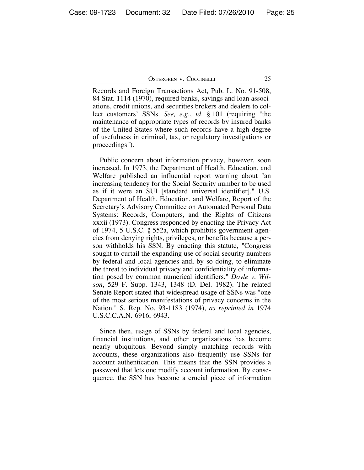Records and Foreign Transactions Act, Pub. L. No. 91-508, 84 Stat. 1114 (1970), required banks, savings and loan associations, credit unions, and securities brokers and dealers to collect customers' SSNs. *See, e.g.*, *id.* § 101 (requiring "the maintenance of appropriate types of records by insured banks of the United States where such records have a high degree of usefulness in criminal, tax, or regulatory investigations or proceedings").

Public concern about information privacy, however, soon increased. In 1973, the Department of Health, Education, and Welfare published an influential report warning about "an increasing tendency for the Social Security number to be used as if it were an SUI [standard universal identifier]." U.S. Department of Health, Education, and Welfare, Report of the Secretary's Advisory Committee on Automated Personal Data Systems: Records, Computers, and the Rights of Citizens xxxii (1973). Congress responded by enacting the Privacy Act of 1974, 5 U.S.C. § 552a, which prohibits government agencies from denying rights, privileges, or benefits because a person withholds his SSN. By enacting this statute, "Congress sought to curtail the expanding use of social security numbers by federal and local agencies and, by so doing, to eliminate the threat to individual privacy and confidentiality of information posed by common numerical identifiers." *Doyle v. Wilson*, 529 F. Supp. 1343, 1348 (D. Del. 1982). The related Senate Report stated that widespread usage of SSNs was "one of the most serious manifestations of privacy concerns in the Nation." S. Rep. No. 93-1183 (1974), *as reprinted in* 1974 U.S.C.C.A.N. 6916, 6943.

Since then, usage of SSNs by federal and local agencies, financial institutions, and other organizations has become nearly ubiquitous. Beyond simply matching records with accounts, these organizations also frequently use SSNs for account authentication. This means that the SSN provides a password that lets one modify account information. By consequence, the SSN has become a crucial piece of information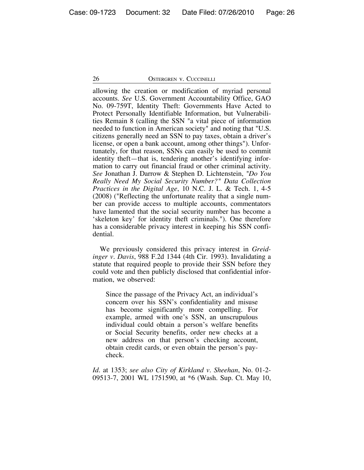allowing the creation or modification of myriad personal accounts. *See* U.S. Government Accountability Office, GAO No. 09-759T, Identity Theft: Governments Have Acted to Protect Personally Identifiable Information, but Vulnerabilities Remain 8 (calling the SSN "a vital piece of information needed to function in American society" and noting that "U.S. citizens generally need an SSN to pay taxes, obtain a driver's license, or open a bank account, among other things"). Unfortunately, for that reason, SSNs can easily be used to commit identity theft—that is, tendering another's identifying information to carry out financial fraud or other criminal activity. *See* Jonathan J. Darrow & Stephen D. Lichtenstein, *"Do You Really Need My Social Security Number?" Data Collection Practices in the Digital Age*, 10 N.C. J. L. & Tech. 1, 4-5 (2008) ("Reflecting the unfortunate reality that a single number can provide access to multiple accounts, commentators have lamented that the social security number has become a 'skeleton key' for identity theft criminals."). One therefore has a considerable privacy interest in keeping his SSN confidential.

We previously considered this privacy interest in *Greidinger v. Davis*, 988 F.2d 1344 (4th Cir. 1993). Invalidating a statute that required people to provide their SSN before they could vote and then publicly disclosed that confidential information, we observed:

Since the passage of the Privacy Act, an individual's concern over his SSN's confidentiality and misuse has become significantly more compelling. For example, armed with one's SSN, an unscrupulous individual could obtain a person's welfare benefits or Social Security benefits, order new checks at a new address on that person's checking account, obtain credit cards, or even obtain the person's paycheck.

*Id.* at 1353; *see also City of Kirkland v. Sheehan*, No. 01-2- 09513-7, 2001 WL 1751590, at \*6 (Wash. Sup. Ct. May 10,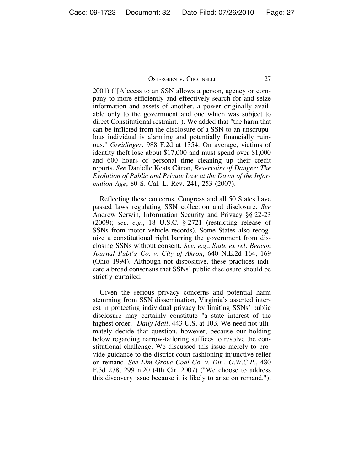2001) ("[A]ccess to an SSN allows a person, agency or company to more efficiently and effectively search for and seize information and assets of another, a power originally available only to the government and one which was subject to direct Constitutional restraint."). We added that "the harm that can be inflicted from the disclosure of a SSN to an unscrupulous individual is alarming and potentially financially ruinous." *Greidinger*, 988 F.2d at 1354. On average, victims of identity theft lose about \$17,000 and must spend over \$1,000 and 600 hours of personal time cleaning up their credit reports. *See* Danielle Keats Citron, *Reservoirs of Danger: The Evolution of Public and Private Law at the Dawn of the Information Age*, 80 S. Cal. L. Rev. 241, 253 (2007).

Reflecting these concerns, Congress and all 50 States have passed laws regulating SSN collection and disclosure. *See* Andrew Serwin, Information Security and Privacy §§ 22-23 (2009); *see, e.g.*, 18 U.S.C. § 2721 (restricting release of SSNs from motor vehicle records). Some States also recognize a constitutional right barring the government from disclosing SSNs without consent. *See, e.g.*, *State ex rel. Beacon Journal Publ'g Co. v. City of Akron*, 640 N.E.2d 164, 169 (Ohio 1994). Although not dispositive, these practices indicate a broad consensus that SSNs' public disclosure should be strictly curtailed.

Given the serious privacy concerns and potential harm stemming from SSN dissemination, Virginia's asserted interest in protecting individual privacy by limiting SSNs' public disclosure may certainly constitute "a state interest of the highest order." *Daily Mail*, 443 U.S. at 103. We need not ultimately decide that question, however, because our holding below regarding narrow-tailoring suffices to resolve the constitutional challenge. We discussed this issue merely to provide guidance to the district court fashioning injunctive relief on remand. *See Elm Grove Coal Co. v. Dir., O.W.C.P.*, 480 F.3d 278, 299 n.20 (4th Cir. 2007) ("We choose to address this discovery issue because it is likely to arise on remand.");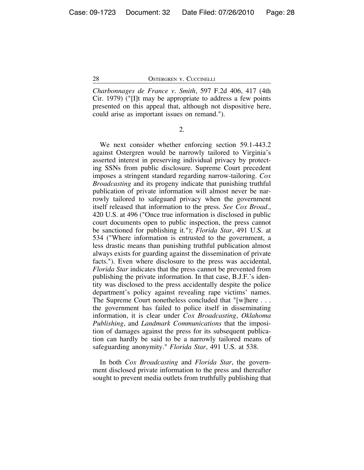*Charbonnages de France v. Smith*, 597 F.2d 406, 417 (4th Cir. 1979) ("[I]t may be appropriate to address a few points presented on this appeal that, although not dispositive here, could arise as important issues on remand.").

2.

We next consider whether enforcing section 59.1-443.2 against Ostergren would be narrowly tailored to Virginia's asserted interest in preserving individual privacy by protecting SSNs from public disclosure. Supreme Court precedent imposes a stringent standard regarding narrow-tailoring. *Cox Broadcasting* and its progeny indicate that punishing truthful publication of private information will almost never be narrowly tailored to safeguard privacy when the government itself released that information to the press. *See Cox Broad.*, 420 U.S. at 496 ("Once true information is disclosed in public court documents open to public inspection, the press cannot be sanctioned for publishing it."); *Florida Star*, 491 U.S. at 534 ("Where information is entrusted to the government, a less drastic means than punishing truthful publication almost always exists for guarding against the dissemination of private facts."). Even where disclosure to the press was accidental, *Florida Star* indicates that the press cannot be prevented from publishing the private information. In that case, B.J.F.'s identity was disclosed to the press accidentally despite the police department's policy against revealing rape victims' names. The Supreme Court nonetheless concluded that "[w]here . . . the government has failed to police itself in disseminating information, it is clear under *Cox Broadcasting*, *Oklahoma Publishing*, and *Landmark Communications* that the imposition of damages against the press for its subsequent publication can hardly be said to be a narrowly tailored means of safeguarding anonymity." *Florida Star*, 491 U.S. at 538.

In both *Cox Broadcasting* and *Florida Star*, the government disclosed private information to the press and thereafter sought to prevent media outlets from truthfully publishing that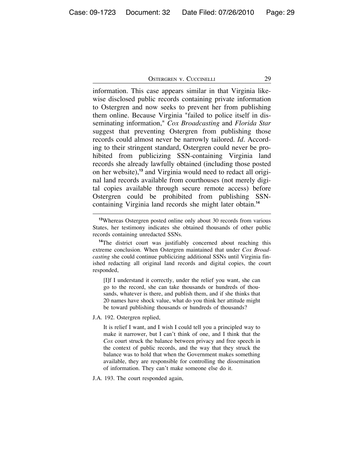information. This case appears similar in that Virginia likewise disclosed public records containing private information to Ostergren and now seeks to prevent her from publishing them online. Because Virginia "failed to police itself in disseminating information," *Cox Broadcasting* and *Florida Star* suggest that preventing Ostergren from publishing those records could almost never be narrowly tailored. *Id.* According to their stringent standard, Ostergren could never be prohibited from publicizing SSN-containing Virginia land records she already lawfully obtained (including those posted on her website),**13** and Virginia would need to redact all original land records available from courthouses (not merely digital copies available through secure remote access) before Ostergren could be prohibited from publishing SSNcontaining Virginia land records she might later obtain.**<sup>14</sup>**

[I]f I understand it correctly, under the relief you want, she can go to the record, she can take thousands or hundreds of thousands, whatever is there, and publish them, and if she thinks that 20 names have shock value, what do you think her attitude might be toward publishing thousands or hundreds of thousands?

J.A. 192. Ostergren replied,

It is relief I want, and I wish I could tell you a principled way to make it narrower, but I can't think of one, and I think that the *Cox* court struck the balance between privacy and free speech in the context of public records, and the way that they struck the balance was to hold that when the Government makes something available, they are responsible for controlling the dissemination of information. They can't make someone else do it.

J.A. 193. The court responded again,

**<sup>13</sup>**Whereas Ostergren posted online only about 30 records from various States, her testimony indicates she obtained thousands of other public records containing unredacted SSNs.

**<sup>14</sup>**The district court was justifiably concerned about reaching this extreme conclusion. When Ostergren maintained that under *Cox Broadcasting* she could continue publicizing additional SSNs until Virginia finished redacting all original land records and digital copies, the court responded,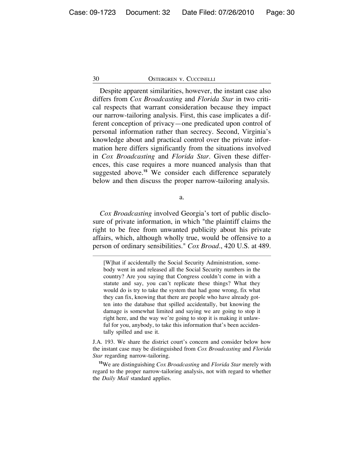Despite apparent similarities, however, the instant case also differs from *Cox Broadcasting* and *Florida Star* in two critical respects that warrant consideration because they impact our narrow-tailoring analysis. First, this case implicates a different conception of privacy—one predicated upon control of personal information rather than secrecy. Second, Virginia's knowledge about and practical control over the private information here differs significantly from the situations involved in *Cox Broadcasting* and *Florida Star*. Given these differences, this case requires a more nuanced analysis than that suggested above.**<sup>15</sup>** We consider each difference separately below and then discuss the proper narrow-tailoring analysis.

a.

*Cox Broadcasting* involved Georgia's tort of public disclosure of private information, in which "the plaintiff claims the right to be free from unwanted publicity about his private affairs, which, although wholly true, would be offensive to a person of ordinary sensibilities." *Cox Broad.*, 420 U.S. at 489.

J.A. 193. We share the district court's concern and consider below how the instant case may be distinguished from *Cox Broadcasting* and *Florida Star* regarding narrow-tailoring.

**<sup>15</sup>**We are distinguishing *Cox Broadcasting* and *Florida Star* merely with regard to the proper narrow-tailoring analysis, not with regard to whether the *Daily Mail* standard applies.

<sup>[</sup>W]hat if accidentally the Social Security Administration, somebody went in and released all the Social Security numbers in the country? Are you saying that Congress couldn't come in with a statute and say, you can't replicate these things? What they would do is try to take the system that had gone wrong, fix what they can fix, knowing that there are people who have already gotten into the database that spilled accidentally, but knowing the damage is somewhat limited and saying we are going to stop it right here, and the way we're going to stop it is making it unlawful for you, anybody, to take this information that's been accidentally spilled and use it.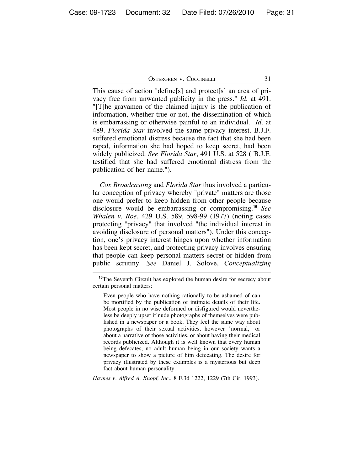This cause of action "define[s] and protect[s] an area of privacy free from unwanted publicity in the press." *Id.* at 491. "[T]he gravamen of the claimed injury is the publication of information, whether true or not, the dissemination of which is embarrassing or otherwise painful to an individual." *Id.* at 489. *Florida Star* involved the same privacy interest. B.J.F. suffered emotional distress because the fact that she had been raped, information she had hoped to keep secret, had been widely publicized. *See Florida Star*, 491 U.S. at 528 ("B.J.F. testified that she had suffered emotional distress from the publication of her name.").

*Cox Broadcasting* and *Florida Star* thus involved a particular conception of privacy whereby "private" matters are those one would prefer to keep hidden from other people because disclosure would be embarrassing or compromising.**<sup>16</sup>** *See Whalen v. Roe*, 429 U.S. 589, 598-99 (1977) (noting cases protecting "privacy" that involved "the individual interest in avoiding disclosure of personal matters"). Under this conception, one's privacy interest hinges upon whether information has been kept secret, and protecting privacy involves ensuring that people can keep personal matters secret or hidden from public scrutiny. *See* Daniel J. Solove, *Conceptualizing*

*Haynes v. Alfred A. Knopf, Inc.*, 8 F.3d 1222, 1229 (7th Cir. 1993).

<sup>&</sup>lt;sup>16</sup>The Seventh Circuit has explored the human desire for secrecy about certain personal matters:

Even people who have nothing rationally to be ashamed of can be mortified by the publication of intimate details of their life. Most people in no wise deformed or disfigured would nevertheless be deeply upset if nude photographs of themselves were published in a newspaper or a book. They feel the same way about photographs of their sexual activities, however "normal," or about a narrative of those activities, or about having their medical records publicized. Although it is well known that every human being defecates, no adult human being in our society wants a newspaper to show a picture of him defecating. The desire for privacy illustrated by these examples is a mysterious but deep fact about human personality.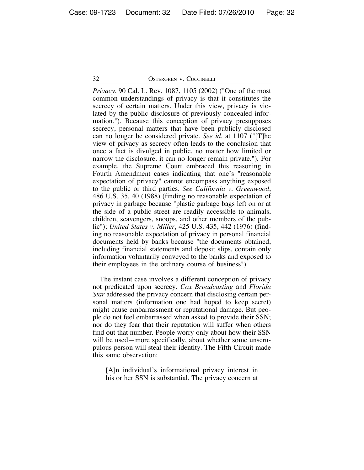*Privacy*, 90 Cal. L. Rev. 1087, 1105 (2002) ("One of the most common understandings of privacy is that it constitutes the secrecy of certain matters. Under this view, privacy is violated by the public disclosure of previously concealed information."). Because this conception of privacy presupposes secrecy, personal matters that have been publicly disclosed can no longer be considered private. *See id.* at 1107 ("[T]he view of privacy as secrecy often leads to the conclusion that once a fact is divulged in public, no matter how limited or narrow the disclosure, it can no longer remain private."). For example, the Supreme Court embraced this reasoning in Fourth Amendment cases indicating that one's "reasonable expectation of privacy" cannot encompass anything exposed to the public or third parties. *See California v. Greenwood*, 486 U.S. 35, 40 (1988) (finding no reasonable expectation of privacy in garbage because "plastic garbage bags left on or at the side of a public street are readily accessible to animals, children, scavengers, snoops, and other members of the public"); *United States v. Miller*, 425 U.S. 435, 442 (1976) (finding no reasonable expectation of privacy in personal financial documents held by banks because "the documents obtained, including financial statements and deposit slips, contain only information voluntarily conveyed to the banks and exposed to their employees in the ordinary course of business").

The instant case involves a different conception of privacy not predicated upon secrecy. *Cox Broadcasting* and *Florida Star* addressed the privacy concern that disclosing certain personal matters (information one had hoped to keep secret) might cause embarrassment or reputational damage. But people do not feel embarrassed when asked to provide their SSN; nor do they fear that their reputation will suffer when others find out that number. People worry only about how their SSN will be used—more specifically, about whether some unscrupulous person will steal their identity. The Fifth Circuit made this same observation:

[A]n individual's informational privacy interest in his or her SSN is substantial. The privacy concern at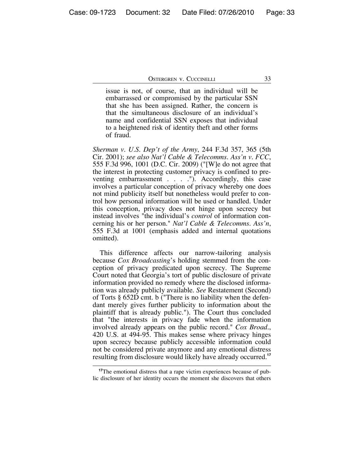issue is not, of course, that an individual will be embarrassed or compromised by the particular SSN that she has been assigned. Rather, the concern is that the simultaneous disclosure of an individual's name and confidential SSN exposes that individual to a heightened risk of identity theft and other forms of fraud.

*Sherman v. U.S. Dep't of the Army*, 244 F.3d 357, 365 (5th Cir. 2001); *see also Nat'l Cable & Telecomms. Ass'n v. FCC*, 555 F.3d 996, 1001 (D.C. Cir. 2009) ("[W]e do not agree that the interest in protecting customer privacy is confined to preventing embarrassment . . . . "). Accordingly, this case involves a particular conception of privacy whereby one does not mind publicity itself but nonetheless would prefer to control how personal information will be used or handled. Under this conception, privacy does not hinge upon secrecy but instead involves "the individual's *control* of information concerning his or her person." *Nat'l Cable & Telecomms. Ass'n*, 555 F.3d at 1001 (emphasis added and internal quotations omitted).

This difference affects our narrow-tailoring analysis because *Cox Broadcasting*'s holding stemmed from the conception of privacy predicated upon secrecy. The Supreme Court noted that Georgia's tort of public disclosure of private information provided no remedy where the disclosed information was already publicly available. *See* Restatement (Second) of Torts § 652D cmt. b ("There is no liability when the defendant merely gives further publicity to information about the plaintiff that is already public."). The Court thus concluded that "the interests in privacy fade when the information involved already appears on the public record." *Cox Broad.*, 420 U.S. at 494-95. This makes sense where privacy hinges upon secrecy because publicly accessible information could not be considered private anymore and any emotional distress resulting from disclosure would likely have already occurred.**<sup>17</sup>**

<sup>&</sup>lt;sup>17</sup>The emotional distress that a rape victim experiences because of public disclosure of her identity occurs the moment she discovers that others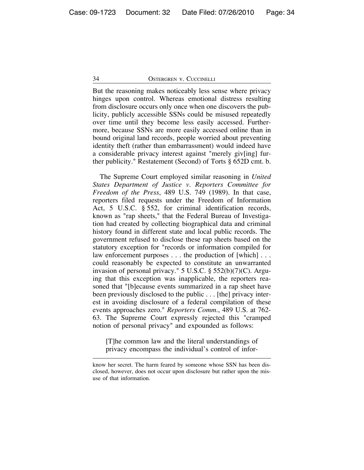But the reasoning makes noticeably less sense where privacy hinges upon control. Whereas emotional distress resulting from disclosure occurs only once when one discovers the publicity, publicly accessible SSNs could be misused repeatedly over time until they become less easily accessed. Furthermore, because SSNs are more easily accessed online than in bound original land records, people worried about preventing identity theft (rather than embarrassment) would indeed have a considerable privacy interest against "merely giv[ing] further publicity." Restatement (Second) of Torts § 652D cmt. b.

The Supreme Court employed similar reasoning in *United States Department of Justice v. Reporters Committee for Freedom of the Press*, 489 U.S. 749 (1989). In that case, reporters filed requests under the Freedom of Information Act, 5 U.S.C. § 552, for criminal identification records, known as "rap sheets," that the Federal Bureau of Investigation had created by collecting biographical data and criminal history found in different state and local public records. The government refused to disclose these rap sheets based on the statutory exception for "records or information compiled for law enforcement purposes . . . the production of [which] . . . could reasonably be expected to constitute an unwarranted invasion of personal privacy." 5 U.S.C. § 552(b)(7)(C). Arguing that this exception was inapplicable, the reporters reasoned that "[b]ecause events summarized in a rap sheet have been previously disclosed to the public . . . [the] privacy interest in avoiding disclosure of a federal compilation of these events approaches zero." *Reporters Comm.*, 489 U.S. at 762- 63. The Supreme Court expressly rejected this "cramped notion of personal privacy" and expounded as follows:

[T]he common law and the literal understandings of privacy encompass the individual's control of infor-

know her secret. The harm feared by someone whose SSN has been disclosed, however, does not occur upon disclosure but rather upon the misuse of that information.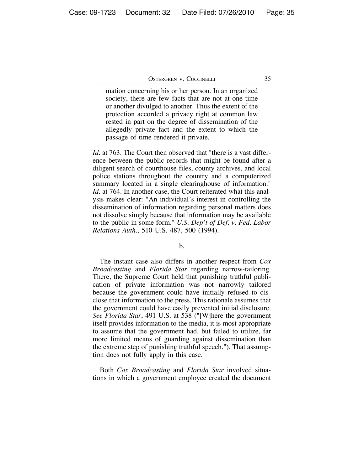mation concerning his or her person. In an organized society, there are few facts that are not at one time or another divulged to another. Thus the extent of the protection accorded a privacy right at common law rested in part on the degree of dissemination of the allegedly private fact and the extent to which the passage of time rendered it private.

*Id.* at 763. The Court then observed that "there is a vast difference between the public records that might be found after a diligent search of courthouse files, county archives, and local police stations throughout the country and a computerized summary located in a single clearinghouse of information." *Id.* at 764. In another case, the Court reiterated what this analysis makes clear: "An individual's interest in controlling the dissemination of information regarding personal matters does not dissolve simply because that information may be available to the public in some form." *U.S. Dep't of Def. v. Fed. Labor Relations Auth.*, 510 U.S. 487, 500 (1994).

#### b.

The instant case also differs in another respect from *Cox Broadcasting* and *Florida Star* regarding narrow-tailoring. There, the Supreme Court held that punishing truthful publication of private information was not narrowly tailored because the government could have initially refused to disclose that information to the press. This rationale assumes that the government could have easily prevented initial disclosure. *See Florida Star*, 491 U.S. at 538 ("[W]here the government itself provides information to the media, it is most appropriate to assume that the government had, but failed to utilize, far more limited means of guarding against dissemination than the extreme step of punishing truthful speech."). That assumption does not fully apply in this case.

Both *Cox Broadcasting* and *Florida Star* involved situations in which a government employee created the document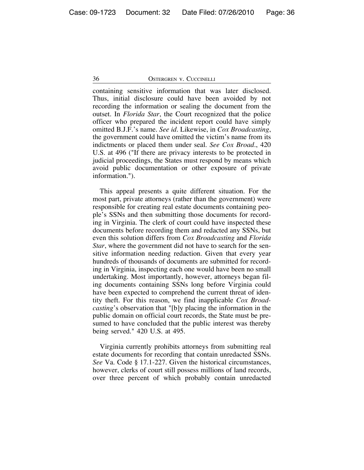containing sensitive information that was later disclosed. Thus, initial disclosure could have been avoided by not recording the information or sealing the document from the outset. In *Florida Star*, the Court recognized that the police officer who prepared the incident report could have simply omitted B.J.F.'s name. *See id.* Likewise, in *Cox Broadcasting*, the government could have omitted the victim's name from its indictments or placed them under seal. *See Cox Broad.*, 420 U.S. at 496 ("If there are privacy interests to be protected in judicial proceedings, the States must respond by means which avoid public documentation or other exposure of private information.").

This appeal presents a quite different situation. For the most part, private attorneys (rather than the government) were responsible for creating real estate documents containing people's SSNs and then submitting those documents for recording in Virginia. The clerk of court could have inspected these documents before recording them and redacted any SSNs, but even this solution differs from *Cox Broadcasting* and *Florida Star*, where the government did not have to search for the sensitive information needing redaction. Given that every year hundreds of thousands of documents are submitted for recording in Virginia, inspecting each one would have been no small undertaking. Most importantly, however, attorneys began filing documents containing SSNs long before Virginia could have been expected to comprehend the current threat of identity theft. For this reason, we find inapplicable *Cox Broadcasting*'s observation that "[b]y placing the information in the public domain on official court records, the State must be presumed to have concluded that the public interest was thereby being served." 420 U.S. at 495.

Virginia currently prohibits attorneys from submitting real estate documents for recording that contain unredacted SSNs. *See* Va. Code § 17.1-227. Given the historical circumstances, however, clerks of court still possess millions of land records, over three percent of which probably contain unredacted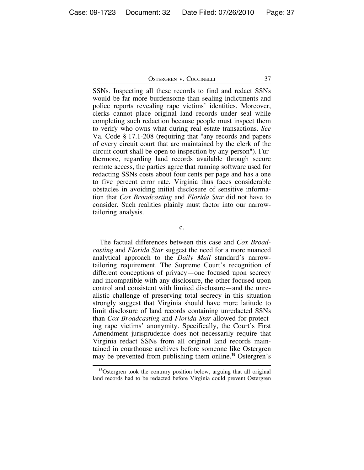SSNs. Inspecting all these records to find and redact SSNs would be far more burdensome than sealing indictments and police reports revealing rape victims' identities. Moreover, clerks cannot place original land records under seal while completing such redaction because people must inspect them to verify who owns what during real estate transactions. *See* Va. Code § 17.1-208 (requiring that "any records and papers of every circuit court that are maintained by the clerk of the circuit court shall be open to inspection by any person"). Furthermore, regarding land records available through secure remote access, the parties agree that running software used for redacting SSNs costs about four cents per page and has a one to five percent error rate. Virginia thus faces considerable obstacles in avoiding initial disclosure of sensitive information that *Cox Broadcasting* and *Florida Star* did not have to consider. Such realities plainly must factor into our narrowtailoring analysis.

c.

The factual differences between this case and *Cox Broadcasting* and *Florida Star* suggest the need for a more nuanced analytical approach to the *Daily Mail* standard's narrowtailoring requirement. The Supreme Court's recognition of different conceptions of privacy—one focused upon secrecy and incompatible with any disclosure, the other focused upon control and consistent with limited disclosure—and the unrealistic challenge of preserving total secrecy in this situation strongly suggest that Virginia should have more latitude to limit disclosure of land records containing unredacted SSNs than *Cox Broadcasting* and *Florida Star* allowed for protecting rape victims' anonymity. Specifically, the Court's First Amendment jurisprudence does not necessarily require that Virginia redact SSNs from all original land records maintained in courthouse archives before someone like Ostergren may be prevented from publishing them online.**<sup>18</sup>** Ostergren's

**<sup>18</sup>**Ostergren took the contrary position below, arguing that all original land records had to be redacted before Virginia could prevent Ostergren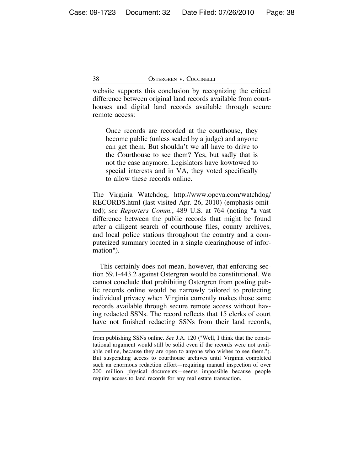website supports this conclusion by recognizing the critical difference between original land records available from courthouses and digital land records available through secure remote access:

Once records are recorded at the courthouse, they become public (unless sealed by a judge) and anyone can get them. But shouldn't we all have to drive to the Courthouse to see them? Yes, but sadly that is not the case anymore. Legislators have kowtowed to special interests and in VA, they voted specifically to allow these records online.

The Virginia Watchdog, http://www.opcva.com/watchdog/ RECORDS.html (last visited Apr. 26, 2010) (emphasis omitted); *see Reporters Comm.*, 489 U.S. at 764 (noting "a vast difference between the public records that might be found after a diligent search of courthouse files, county archives, and local police stations throughout the country and a computerized summary located in a single clearinghouse of information").

This certainly does not mean, however, that enforcing section 59.1-443.2 against Ostergren would be constitutional. We cannot conclude that prohibiting Ostergren from posting public records online would be narrowly tailored to protecting individual privacy when Virginia currently makes those same records available through secure remote access without having redacted SSNs. The record reflects that 15 clerks of court have not finished redacting SSNs from their land records,

from publishing SSNs online. *See* J.A. 120 ("Well, I think that the constitutional argument would still be solid even if the records were not available online, because they are open to anyone who wishes to see them."). But suspending access to courthouse archives until Virginia completed such an enormous redaction effort—requiring manual inspection of over 200 million physical documents—seems impossible because people require access to land records for any real estate transaction.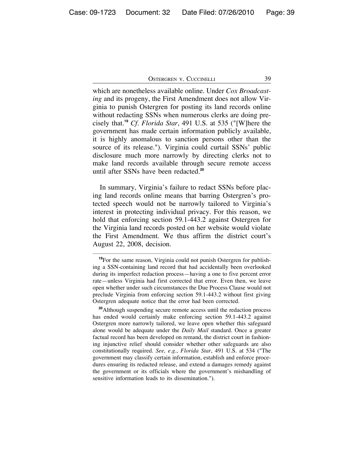which are nonetheless available online. Under *Cox Broadcasting* and its progeny, the First Amendment does not allow Virginia to punish Ostergren for posting its land records online without redacting SSNs when numerous clerks are doing precisely that.**<sup>19</sup>** *Cf. Florida Star*, 491 U.S. at 535 ("[W]here the government has made certain information publicly available, it is highly anomalous to sanction persons other than the source of its release."). Virginia could curtail SSNs' public disclosure much more narrowly by directing clerks not to make land records available through secure remote access until after SSNs have been redacted.**<sup>20</sup>**

In summary, Virginia's failure to redact SSNs before placing land records online means that barring Ostergren's protected speech would not be narrowly tailored to Virginia's interest in protecting individual privacy. For this reason, we hold that enforcing section 59.1-443.2 against Ostergren for the Virginia land records posted on her website would violate the First Amendment. We thus affirm the district court's August 22, 2008, decision.

**<sup>19</sup>**For the same reason, Virginia could not punish Ostergren for publishing a SSN-containing land record that had accidentally been overlooked during its imperfect redaction process—having a one to five percent error rate—unless Virginia had first corrected that error. Even then, we leave open whether under such circumstances the Due Process Clause would not preclude Virginia from enforcing section 59.1-443.2 without first giving Ostergren adequate notice that the error had been corrected.

**<sup>20</sup>**Although suspending secure remote access until the redaction process has ended would certainly make enforcing section 59.1-443.2 against Ostergren more narrowly tailored, we leave open whether this safeguard alone would be adequate under the *Daily Mail* standard. Once a greater factual record has been developed on remand, the district court in fashioning injunctive relief should consider whether other safeguards are also constitutionally required. *See, e.g.*, *Florida Star*, 491 U.S. at 534 ("The government may classify certain information, establish and enforce procedures ensuring its redacted release, and extend a damages remedy against the government or its officials where the government's mishandling of sensitive information leads to its dissemination.").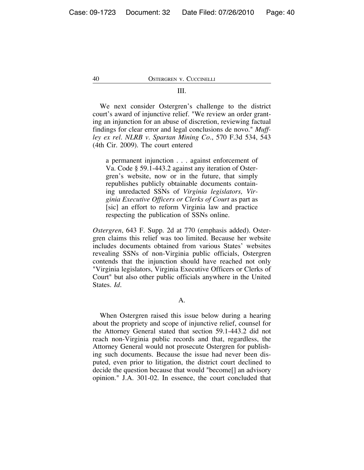#### III.

We next consider Ostergren's challenge to the district court's award of injunctive relief. "We review an order granting an injunction for an abuse of discretion, reviewing factual findings for clear error and legal conclusions de novo." *Muffley ex rel. NLRB v. Spartan Mining Co.*, 570 F.3d 534, 543 (4th Cir. 2009). The court entered

a permanent injunction . . . against enforcement of Va. Code § 59.1-443.2 against any iteration of Ostergren's website, now or in the future, that simply republishes publicly obtainable documents containing unredacted SSNs of *Virginia legislators, Virginia Executive Officers or Clerks of Court* as part as [sic] an effort to reform Virginia law and practice respecting the publication of SSNs online.

*Ostergren*, 643 F. Supp. 2d at 770 (emphasis added). Ostergren claims this relief was too limited. Because her website includes documents obtained from various States' websites revealing SSNs of non-Virginia public officials, Ostergren contends that the injunction should have reached not only "Virginia legislators, Virginia Executive Officers or Clerks of Court" but also other public officials anywhere in the United States. *Id.*

A.

When Ostergren raised this issue below during a hearing about the propriety and scope of injunctive relief, counsel for the Attorney General stated that section 59.1-443.2 did not reach non-Virginia public records and that, regardless, the Attorney General would not prosecute Ostergren for publishing such documents. Because the issue had never been disputed, even prior to litigation, the district court declined to decide the question because that would "become[] an advisory opinion." J.A. 301-02. In essence, the court concluded that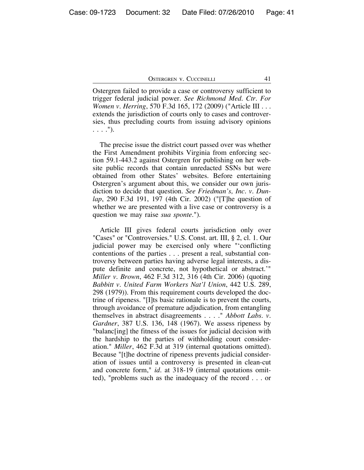Ostergren failed to provide a case or controversy sufficient to trigger federal judicial power. *See Richmond Med. Ctr. For Women v. Herring*, 570 F.3d 165, 172 (2009) ("Article III . . . extends the jurisdiction of courts only to cases and controversies, thus precluding courts from issuing advisory opinions . . . .").

The precise issue the district court passed over was whether the First Amendment prohibits Virginia from enforcing section 59.1-443.2 against Ostergren for publishing on her website public records that contain unredacted SSNs but were obtained from other States' websites. Before entertaining Ostergren's argument about this, we consider our own jurisdiction to decide that question. *See Friedman's, Inc. v. Dunlap*, 290 F.3d 191, 197 (4th Cir. 2002) ("[T]he question of whether we are presented with a live case or controversy is a question we may raise *sua sponte*.").

Article III gives federal courts jurisdiction only over "Cases" or "Controversies." U.S. Const. art. III, § 2, cl. 1. Our judicial power may be exercised only where "'conflicting contentions of the parties . . . present a real, substantial controversy between parties having adverse legal interests, a dispute definite and concrete, not hypothetical or abstract.'" *Miller v. Brown*, 462 F.3d 312, 316 (4th Cir. 2006) (quoting *Babbitt v. United Farm Workers Nat'l Union*, 442 U.S. 289, 298 (1979)). From this requirement courts developed the doctrine of ripeness. "[I]ts basic rationale is to prevent the courts, through avoidance of premature adjudication, from entangling themselves in abstract disagreements . . . ." *Abbott Labs. v. Gardner*, 387 U.S. 136, 148 (1967). We assess ripeness by "balanc[ing] the fitness of the issues for judicial decision with the hardship to the parties of withholding court consideration." *Miller*, 462 F.3d at 319 (internal quotations omitted). Because "[t]he doctrine of ripeness prevents judicial consideration of issues until a controversy is presented in clean-cut and concrete form," *id.* at 318-19 (internal quotations omitted), "problems such as the inadequacy of the record . . . or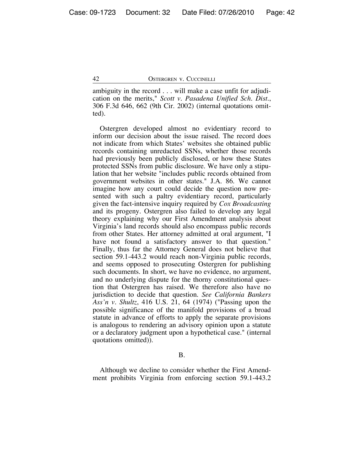ambiguity in the record . . . will make a case unfit for adjudication on the merits," *Scott v. Pasadena Unified Sch. Dist.*, 306 F.3d 646, 662 (9th Cir. 2002) (internal quotations omitted).

Ostergren developed almost no evidentiary record to inform our decision about the issue raised. The record does not indicate from which States' websites she obtained public records containing unredacted SSNs, whether those records had previously been publicly disclosed, or how these States protected SSNs from public disclosure. We have only a stipulation that her website "includes public records obtained from government websites in other states." J.A. 86. We cannot imagine how any court could decide the question now presented with such a paltry evidentiary record, particularly given the fact-intensive inquiry required by *Cox Broadcasting* and its progeny. Ostergren also failed to develop any legal theory explaining why our First Amendment analysis about Virginia's land records should also encompass public records from other States. Her attorney admitted at oral argument, "I have not found a satisfactory answer to that question." Finally, thus far the Attorney General does not believe that section 59.1-443.2 would reach non-Virginia public records, and seems opposed to prosecuting Ostergren for publishing such documents. In short, we have no evidence, no argument, and no underlying dispute for the thorny constitutional question that Ostergren has raised. We therefore also have no jurisdiction to decide that question. *See California Bankers Ass'n v. Shultz*, 416 U.S. 21, 64 (1974) ("Passing upon the possible significance of the manifold provisions of a broad statute in advance of efforts to apply the separate provisions is analogous to rendering an advisory opinion upon a statute or a declaratory judgment upon a hypothetical case." (internal quotations omitted)).

B.

Although we decline to consider whether the First Amendment prohibits Virginia from enforcing section 59.1-443.2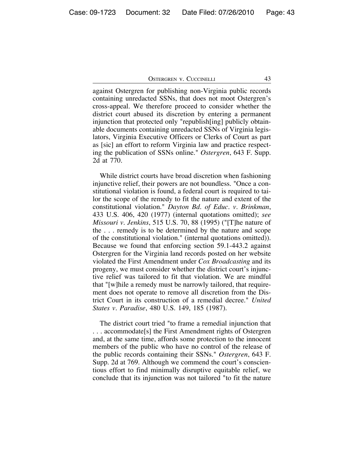against Ostergren for publishing non-Virginia public records containing unredacted SSNs, that does not moot Ostergren's cross-appeal. We therefore proceed to consider whether the district court abused its discretion by entering a permanent injunction that protected only "republish[ing] publicly obtainable documents containing unredacted SSNs of Virginia legislators, Virginia Executive Officers or Clerks of Court as part as [sic] an effort to reform Virginia law and practice respecting the publication of SSNs online." *Ostergren*, 643 F. Supp. 2d at 770.

While district courts have broad discretion when fashioning injunctive relief, their powers are not boundless. "Once a constitutional violation is found, a federal court is required to tailor the scope of the remedy to fit the nature and extent of the constitutional violation." *Dayton Bd. of Educ. v. Brinkman*, 433 U.S. 406, 420 (1977) (internal quotations omitted); *see Missouri v. Jenkins*, 515 U.S. 70, 88 (1995) ("[T]he nature of the . . . remedy is to be determined by the nature and scope of the constitutional violation." (internal quotations omitted)). Because we found that enforcing section 59.1-443.2 against Ostergren for the Virginia land records posted on her website violated the First Amendment under *Cox Broadcasting* and its progeny, we must consider whether the district court's injunctive relief was tailored to fit that violation. We are mindful that "[w]hile a remedy must be narrowly tailored, that requirement does not operate to remove all discretion from the District Court in its construction of a remedial decree." *United States v. Paradise*, 480 U.S. 149, 185 (1987).

The district court tried "to frame a remedial injunction that . . . accommodate[s] the First Amendment rights of Ostergren and, at the same time, affords some protection to the innocent members of the public who have no control of the release of the public records containing their SSNs." *Ostergren*, 643 F. Supp. 2d at 769. Although we commend the court's conscientious effort to find minimally disruptive equitable relief, we conclude that its injunction was not tailored "to fit the nature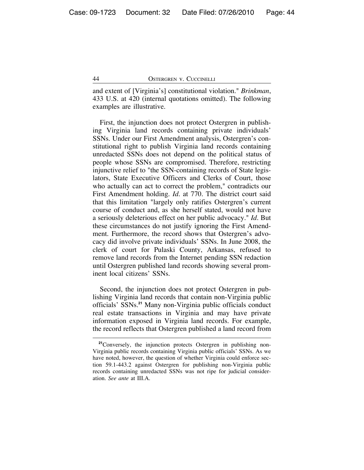and extent of [Virginia's] constitutional violation." *Brinkman*, 433 U.S. at 420 (internal quotations omitted). The following examples are illustrative.

First, the injunction does not protect Ostergren in publishing Virginia land records containing private individuals' SSNs. Under our First Amendment analysis, Ostergren's constitutional right to publish Virginia land records containing unredacted SSNs does not depend on the political status of people whose SSNs are compromised. Therefore, restricting injunctive relief to "the SSN-containing records of State legislators, State Executive Officers and Clerks of Court, those who actually can act to correct the problem," contradicts our First Amendment holding. *Id.* at 770. The district court said that this limitation "largely only ratifies Ostergren's current course of conduct and, as she herself stated, would not have a seriously deleterious effect on her public advocacy." *Id.* But these circumstances do not justify ignoring the First Amendment. Furthermore, the record shows that Ostergren's advocacy did involve private individuals' SSNs. In June 2008, the clerk of court for Pulaski County, Arkansas, refused to remove land records from the Internet pending SSN redaction until Ostergren published land records showing several prominent local citizens' SSNs.

Second, the injunction does not protect Ostergren in publishing Virginia land records that contain non-Virginia public officials' SSNs.**<sup>21</sup>** Many non-Virginia public officials conduct real estate transactions in Virginia and may have private information exposed in Virginia land records. For example, the record reflects that Ostergren published a land record from

**<sup>21</sup>**Conversely, the injunction protects Ostergren in publishing non-Virginia public records containing Virginia public officials' SSNs. As we have noted, however, the question of whether Virginia could enforce section 59.1-443.2 against Ostergren for publishing non-Virginia public records containing unredacted SSNs was not ripe for judicial consideration. *See ante* at III.A.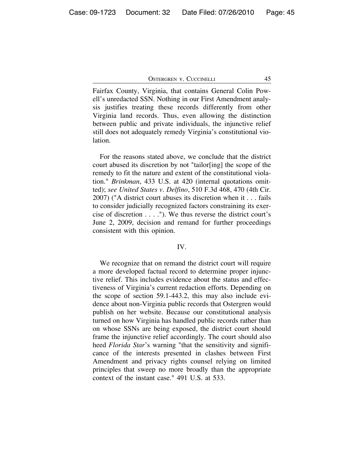Fairfax County, Virginia, that contains General Colin Powell's unredacted SSN. Nothing in our First Amendment analysis justifies treating these records differently from other Virginia land records. Thus, even allowing the distinction between public and private individuals, the injunctive relief still does not adequately remedy Virginia's constitutional violation.

For the reasons stated above, we conclude that the district court abused its discretion by not "tailor[ing] the scope of the remedy to fit the nature and extent of the constitutional violation." *Brinkman*, 433 U.S. at 420 (internal quotations omitted); *see United States v. Delfino*, 510 F.3d 468, 470 (4th Cir. 2007) ("A district court abuses its discretion when it . . . fails to consider judicially recognized factors constraining its exercise of discretion . . . ."). We thus reverse the district court's June 2, 2009, decision and remand for further proceedings consistent with this opinion.

#### IV.

We recognize that on remand the district court will require a more developed factual record to determine proper injunctive relief. This includes evidence about the status and effectiveness of Virginia's current redaction efforts. Depending on the scope of section 59.1-443.2, this may also include evidence about non-Virginia public records that Ostergren would publish on her website. Because our constitutional analysis turned on how Virginia has handled public records rather than on whose SSNs are being exposed, the district court should frame the injunctive relief accordingly. The court should also heed *Florida Star*'s warning "that the sensitivity and significance of the interests presented in clashes between First Amendment and privacy rights counsel relying on limited principles that sweep no more broadly than the appropriate context of the instant case." 491 U.S. at 533.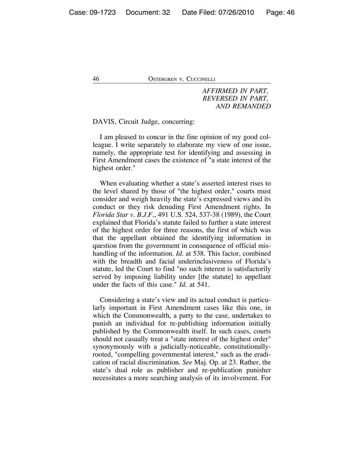*AFFIRMED IN PART, REVERSED IN PART, AND REMANDED*

DAVIS, Circuit Judge, concurring:

I am pleased to concur in the fine opinion of my good colleague. I write separately to elaborate my view of one issue, namely, the appropriate test for identifying and assessing in First Amendment cases the existence of "a state interest of the highest order."

When evaluating whether a state's asserted interest rises to the level shared by those of "the highest order," courts must consider and weigh heavily the state's expressed views and its conduct or they risk denuding First Amendment rights. In *Florida Star v. B.J.F.*, 491 U.S. 524, 537-38 (1989), the Court explained that Florida's statute failed to further a state interest of the highest order for three reasons, the first of which was that the appellant obtained the identifying information in question from the government in consequence of official mishandling of the information. *Id.* at 538. This factor, combined with the breadth and facial underinclusiveness of Florida's statute, led the Court to find "no such interest is satisfactorily served by imposing liability under [the statute] to appellant under the facts of this case." *Id.* at 541.

Considering a state's view and its actual conduct is particularly important in First Amendment cases like this one, in which the Commonwealth, a party to the case, undertakes to punish an individual for re-publishing information initially published by the Commonwealth itself. In such cases, courts should not casually treat a "state interest of the highest order" synonymously with a judicially-noticeable, constitutionallyrooted, "compelling governmental interest," such as the eradication of racial discrimination. *See* Maj. Op. at 23. Rather, the state's dual role as publisher and re-publication punisher necessitates a more searching analysis of its involvement. For